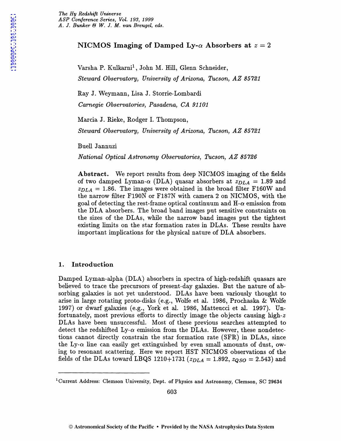# NICMOS Imaging of Damped Ly- $\alpha$  Absorbers at  $z = 2$

Varsha P. Kulkarni<sup>1</sup>, John M. Hill, Glenn Schneider, *Steward Observatory, University of Arizona, Tucson, AZ 85721* 

Ray J. Weymann, Lisa J. Storrie-Lombardi

*Carnegie Observatories, Pasadena, CA 91101* 

Marcia J. Rieke, Rodger I. Thompson,

*Steward Observatory, University of Arizona, Tucson, AZ 85721* 

Buell Jannuzi

*National Optical Astronomy Observatories, Tucson, AZ 85726* 

Abstract. We report results from deep NICMOS imaging of the fields of two damped Lyman- $\alpha$  (DLA) quasar absorbers at  $z_{DLA} = 1.89$  and  $z_{DLA}$  = 1.86. The images were obtained in the broad filter F160W and the narrow filter F190N or F187N with camera 2 on NICMOS, with the goal of detecting the rest-frame optical continuum and  $H-\alpha$  emission from the DLA absorbers. The broad band images put sensitive constraints on the sizes of the DLAs, while the narrow band images put the tightest existing limits on the star formation rates in DLAs. These results have important implications for the physical nature of DLA absorbers.

### 1. Introduction

Damped Lyman-alpha (DLA) absorbers in spectra of high-redshift quasars are believed to trace the precursors of present-day galaxies. But the nature of absorbing galaxies is not yet understood. DLAs have been variously thought to arise in large rotating proto-disks (e.g., Wolfe et al. 1986, Prochaska & Wolfe 1997) or dwarf galaxies (e.g., York et al. 1986, Matteucci et al. 1997). Unfortunately, most previous efforts to directly image the objects causing high-z DLAs have been unsuccessful. Most of these previous searches attempted to detect the redshifted  $Ly-\alpha$  emission from the DLAs. However, these nondetections cannot directly constrain the star formation rate (SFR) in DLAs, since the Ly- $\alpha$  line can easily get extinguished by even small amounts of dust, owing to resonant scattering. Here we report HST NICMOS observations of the fields of the DLAs toward LBQS 1210+1731 ( $z_{DLA} = 1.892$ ,  $z_{OSO} = 2.543$ ) and

<sup>&</sup>lt;sup>1</sup>Current Address: Clemson University, Dept. of Physics and Astronomy, Clemson, SC 29634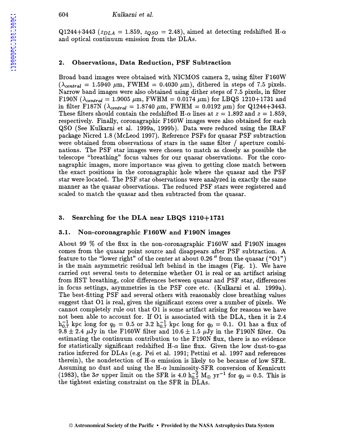#### 604 *Kulkarni et* al.

Q1244+3443 ( $z_{DLA}$  = 1.859,  $z_{OSO}$  = 2.48), aimed at detecting redshifted H- $\alpha$ and optical continuum emission from the DLAs.

#### 2. Observations, Data Reduction, PSF Subtraction

Broad band images were obtained with NICMOS camera 2, using filter F160W  $(\lambda_{central} = 1.5940 \mu m, \text{FWHM} = 0.4030 \mu m), \text{dithered in steps of 7.5 pixels.}$ Narrow band images were also obtained using dither steps of 7 .5 pixels, in filter F190N  $(\lambda_{central} = 1.9005 \ \mu \text{m})$ , FWHM = 0.0174  $\mu$ m) for LBQS 1210+1731 and in filter F187N ( $\lambda_{central} = 1.8740 \ \mu \text{m}$ , FWHM = 0.0192  $\mu$ m) for Q1244+3443. These filters should contain the redshifted H- $\alpha$  lines at  $z = 1.892$  and  $z = 1.859$ , respectively. Finally, coronagraphic F160W images were also obtained for each QSO (See Kulkarni et al. 1999a, 1999b ). Data were reduced using the IRAF package Nicred 1.8 (McLeod 1997). Reference PSFs for quasar PSF subtraction were obtained from observations of stars in the same filter / aperture combinations. The PSF star images were chosen to match as closely as possible the telescope "breathing" focus values for our quasar observations. For the coronagraphic images, more importance was given to getting close match between the exact positions in the coronagraphic hole where the quasar and the PSF star were located. The PSF star observations were analyzed in exactly the same manner as the quasar observations. The reduced PSF stars were registered and scaled to match the quasar and then subtracted from the quasar.

### 3. Searching for the DLA near LBQS 1210+1731

### 3.1. Non-coronagraphic F160W and F190N images

About 99  $\%$  of the flux in the non-coronagraphic F160W and F190N images comes from the quasar point source and disappears after PSF subtraction. A feature to the "lower right" of the center at about 0.26" from the quasar  $(°01")$ is the main asymmetric residual left behind in the images (Fig.  $1$ ). We have carried out several tests to determine whether 01 is real or an artifact arising from HST breathing, color differences between quasar and PSF star, differences in focus settings, asymmetries in the PSF core etc. (Kulkarni et al. 1999a). The best-fitting PSF and several others with reasonably close breathing values suggest that 01 is real, given the significant excess over a number of pixels. We cannot completely rule out that 01 is some artifact arising for reasons we have not been able to account for. If 01 is associated with the DLA, then it is 2.4  $h_{0.7}^{-1}$  kpc long for  $q_0 = 0.5$  or 3.2  $h_{0.7}^{-1}$  kpc long for  $q_0 = 0.1$ . O1 has a flux of 9.8  $\pm$  2.4  $\mu$ Jy in the F160W filter and 10.6  $\pm$  1.5  $\mu$ Jy in the F190N filter. On estimating the continuum contribution to the F190N flux, there is no evidence for statistically significant redshifted H- $\alpha$  line flux. Given the low dust-to-gas ratios inferred for DLAs (e.g. Pei et al. 1991; Pettini et al. 1997 and references therein), the nondetection of  $H-\alpha$  emission is likely to be because of low SFR. Assuming no dust and using the H- $\alpha$  luminosity-SFR conversion of Kennicutt (1983), the  $3\sigma$  upper limit on the SFR is 4.0  $h_{0.7}^{-2}$  M<sub> $\odot$ </sub> yr<sup>-1</sup> for  $q_0 = 0.5$ . This is the tightest existing constraint on the SFR in DLAs.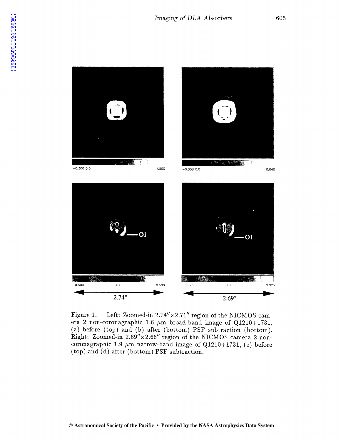

Figure 1. Left: Zoomed-in 2.74"x2.71" region of the NICMOS camera 2 non-coronagraphic 1.6  $\mu$ m broad-band image of Q1210+1731, (a) before (top) and (b) after (bottom) PSF subtraction (bottom). Right: Zoomed-in 2.69"x2.66" region of the NICMOS camera 2 noncoronagraphic 1.9  $\mu$ m narrow-band image of Q1210+1731, (c) before (top) and  $(d)$  after (bottom) PSF subtraction.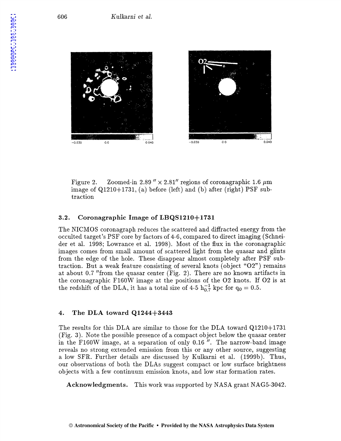

Figure 2. Zoomed-in 2.89 "  $\times$  2.81" regions of coronagraphic 1.6  $\mu$ m image of  $Q1210+1731$ , (a) before (left) and (b) after (right) PSF subtraction

# 3.2. Coronagraphic Image of LBQS1210+1731

The NICMOS coronagraph reduces the scattered and diffracted energy from the occulted target's PSF core by factors of 4-6, compared to direct imaging (Schneider et al. 1998; Lowrance et al. 1998). Most of the flux in the coronagraphic images comes from small amount of scattered light from the quasar and glints from the edge of the hole. These disappear almost completely after PSF subtraction. But a weak feature consisting of several knots (object " $O2"$ ) remains at about 0.7 "from the quasar center (Fig. 2). There are no known artifacts in the coronagraphic F160W image at the positions of the 02 knots. H 02 is at the redshift of the DLA, it has a total size of 4-5  $h_{0.7}^{-1}$  kpc for  $q_0 = 0.5$ .

## 4. The DLA toward Q1244+3443

The results for this DLA are similar to those for the DLA toward Q1210+1731 (Fig. 3). Note the possible presence of a compact object below the quasar center in the F160W image, at a separation of only 0.16 ". The narrow-band image reveals no strong extended emission from this or any other source, suggesting a low SFR. Further details are discussed by Kulkarni et al. (1999b). Thus, our observations of both the DLAs suggest compact or low surface brightness objects with a few continuum emission knots, and low star formation rates.

Acknowledgments. This work was supported by NASA grant NAG5-3042.